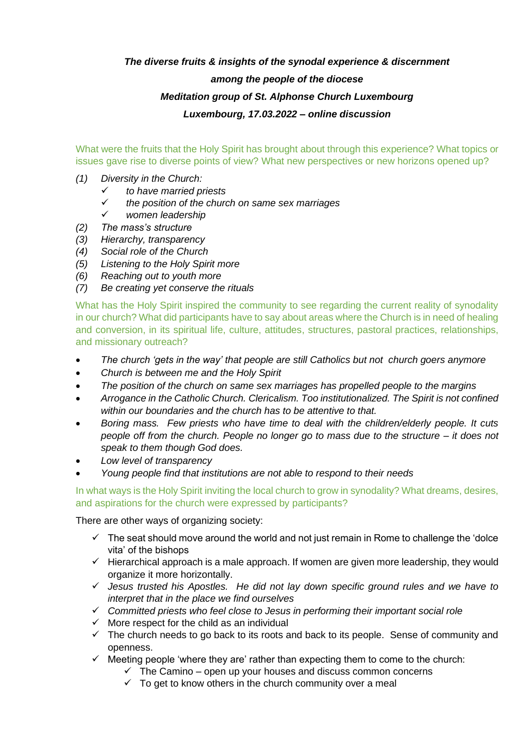## *The diverse fruits & insights of the synodal experience & discernment among the people of the diocese Meditation group of St. Alphonse Church Luxembourg Luxembourg, 17.03.2022 – online discussion*

What were the fruits that the Holy Spirit has brought about through this experience? What topics or issues gave rise to diverse points of view? What new perspectives or new horizons opened up?

- *(1) Diversity in the Church:*
	- ✓ *to have married priests*
	- ✓ *the position of the church on same sex marriages*
	- ✓ *women leadership*
- *(2) The mass's structure*
- *(3) Hierarchy, transparency*
- *(4) Social role of the Church*
- *(5) Listening to the Holy Spirit more*
- *(6) Reaching out to youth more*
- *(7) Be creating yet conserve the rituals*

What has the Holy Spirit inspired the community to see regarding the current reality of synodality in our church? What did participants have to say about areas where the Church is in need of healing and conversion, in its spiritual life, culture, attitudes, structures, pastoral practices, relationships, and missionary outreach?

- *The church 'gets in the way' that people are still Catholics but not church goers anymore*
- *Church is between me and the Holy Spirit*
- *The position of the church on same sex marriages has propelled people to the margins*
- *Arrogance in the Catholic Church. Clericalism. Too institutionalized. The Spirit is not confined within our boundaries and the church has to be attentive to that.*
- *Boring mass. Few priests who have time to deal with the children/elderly people. It cuts people off from the church. People no longer go to mass due to the structure – it does not speak to them though God does.*
- *Low level of transparency*
- *Young people find that institutions are not able to respond to their needs*

In what ways is the Holy Spirit inviting the local church to grow in synodality? What dreams, desires, and aspirations for the church were expressed by participants?

There are other ways of organizing society:

- $\checkmark$  The seat should move around the world and not just remain in Rome to challenge the 'dolce vita' of the bishops
- $\checkmark$  Hierarchical approach is a male approach. If women are given more leadership, they would organize it more horizontally.
- ✓ *Jesus trusted his Apostles. He did not lay down specific ground rules and we have to interpret that in the place we find ourselves*
- ✓ *Committed priests who feel close to Jesus in performing their important social role*
- $\checkmark$  More respect for the child as an individual
- $\checkmark$  The church needs to go back to its roots and back to its people. Sense of community and openness.
- $\checkmark$  Meeting people 'where they are' rather than expecting them to come to the church:
	- $\checkmark$  The Camino open up your houses and discuss common concerns
	- $\checkmark$  To get to know others in the church community over a meal